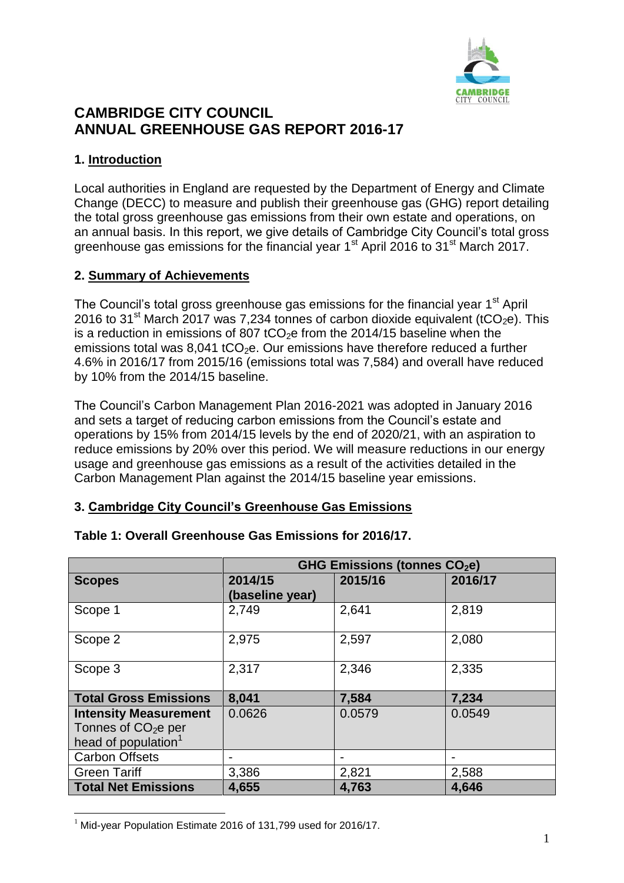

# **CAMBRIDGE CITY COUNCIL ANNUAL GREENHOUSE GAS REPORT 2016-17**

# **1. Introduction**

Local authorities in England are requested by the Department of Energy and Climate Change (DECC) to measure and publish their greenhouse gas (GHG) report detailing the total gross greenhouse gas emissions from their own estate and operations, on an annual basis. In this report, we give details of Cambridge City Council's total gross greenhouse gas emissions for the financial year  $1<sup>st</sup>$  April 2016 to  $31<sup>st</sup>$  March 2017.

## **2. Summary of Achievements**

The Council's total gross greenhouse gas emissions for the financial year 1<sup>st</sup> April 2016 to 31<sup>st</sup> March 2017 was 7,234 tonnes of carbon dioxide equivalent (tCO<sub>2</sub>e). This is a reduction in emissions of 807 tCO<sub>2</sub>e from the 2014/15 baseline when the emissions total was  $8.041$  tCO<sub>2</sub>e. Our emissions have therefore reduced a further 4.6% in 2016/17 from 2015/16 (emissions total was 7,584) and overall have reduced by 10% from the 2014/15 baseline.

The Council's Carbon Management Plan 2016-2021 was adopted in January 2016 and sets a target of reducing carbon emissions from the Council's estate and operations by 15% from 2014/15 levels by the end of 2020/21, with an aspiration to reduce emissions by 20% over this period. We will measure reductions in our energy usage and greenhouse gas emissions as a result of the activities detailed in the Carbon Management Plan against the 2014/15 baseline year emissions.

## **3. Cambridge City Council's Greenhouse Gas Emissions**

|                                 | GHG Emissions (tonnes CO <sub>2</sub> e) |         |         |
|---------------------------------|------------------------------------------|---------|---------|
| <b>Scopes</b>                   | 2014/15                                  | 2015/16 | 2016/17 |
|                                 | (baseline year)                          |         |         |
| Scope 1                         | 2,749                                    | 2,641   | 2,819   |
| Scope 2                         | 2,975                                    | 2,597   | 2,080   |
| Scope 3                         | 2,317                                    | 2,346   | 2,335   |
| <b>Total Gross Emissions</b>    | 8,041                                    | 7,584   | 7,234   |
| <b>Intensity Measurement</b>    | 0.0626                                   | 0.0579  | 0.0549  |
| Tonnes of $CO2e$ per            |                                          |         |         |
| head of population <sup>1</sup> |                                          |         |         |
| <b>Carbon Offsets</b>           |                                          |         |         |
| <b>Green Tariff</b>             | 3,386                                    | 2,821   | 2,588   |
| <b>Total Net Emissions</b>      | 4,655                                    | 4,763   | 4,646   |

## **Table 1: Overall Greenhouse Gas Emissions for 2016/17.**

 $\overline{a}$  $1$  Mid-year Population Estimate 2016 of 131,799 used for 2016/17.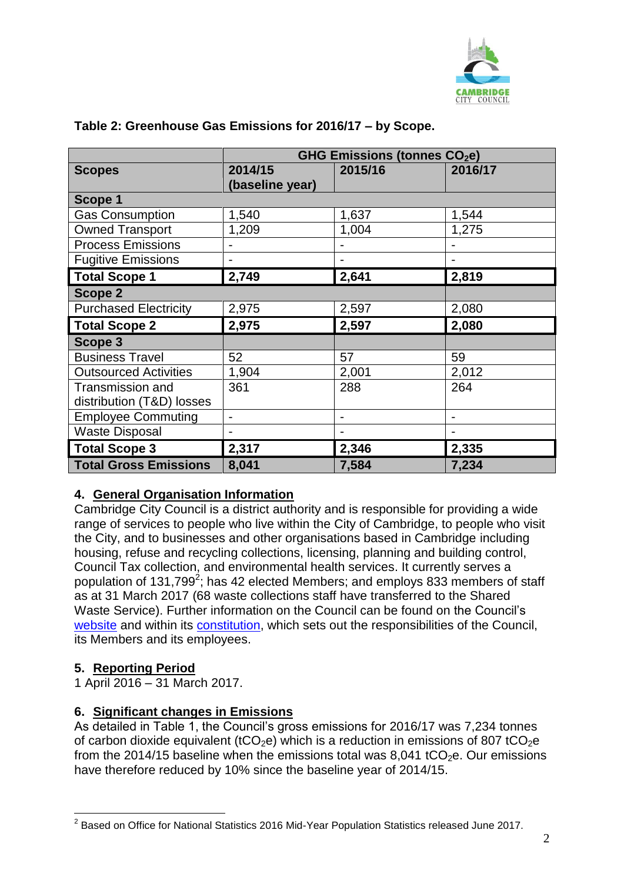

|                              | <b>GHG Emissions (tonnes CO2e)</b> |         |         |
|------------------------------|------------------------------------|---------|---------|
| <b>Scopes</b>                | 2014/15                            | 2015/16 | 2016/17 |
|                              | (baseline year)                    |         |         |
| Scope 1                      |                                    |         |         |
| <b>Gas Consumption</b>       | 1,540                              | 1,637   | 1,544   |
| <b>Owned Transport</b>       | 1,209                              | 1,004   | 1,275   |
| <b>Process Emissions</b>     |                                    |         |         |
| <b>Fugitive Emissions</b>    |                                    |         |         |
| <b>Total Scope 1</b>         | 2,749                              | 2,641   | 2,819   |
| <b>Scope 2</b>               |                                    |         |         |
| <b>Purchased Electricity</b> | 2,975                              | 2,597   | 2,080   |
| <b>Total Scope 2</b>         | 2,975                              | 2,597   | 2,080   |
| Scope 3                      |                                    |         |         |
| <b>Business Travel</b>       | 52                                 | 57      | 59      |
| <b>Outsourced Activities</b> | 1,904                              | 2,001   | 2,012   |
| <b>Transmission and</b>      | 361                                | 288     | 264     |
| distribution (T&D) losses    |                                    |         |         |
| <b>Employee Commuting</b>    | $\blacksquare$                     | -       | -       |
| <b>Waste Disposal</b>        |                                    |         |         |
| <b>Total Scope 3</b>         | 2,317                              | 2,346   | 2,335   |
| <b>Total Gross Emissions</b> | 8,041                              | 7,584   | 7,234   |

# **Table 2: Greenhouse Gas Emissions for 2016/17 – by Scope.**

## **4. General Organisation Information**

Cambridge City Council is a district authority and is responsible for providing a wide range of services to people who live within the City of Cambridge, to people who visit the City, and to businesses and other organisations based in Cambridge including housing, refuse and recycling collections, licensing, planning and building control, Council Tax collection, and environmental health services. It currently serves a population of 131,799<sup>2</sup>; has 42 elected Members; and employs 833 members of staff as at 31 March 2017 (68 waste collections staff have transferred to the Shared Waste Service). Further information on the Council can be found on the Council's [website](http://www.cambridge.gov.uk/) and within its [constitution,](https://www.cambridge.gov.uk/constitution) which sets out the responsibilities of the Council, its Members and its employees.

# **5. Reporting Period**

1 April 2016 – 31 March 2017.

## **6. Significant changes in Emissions**

As detailed in Table 1, the Council's gross emissions for 2016/17 was 7,234 tonnes of carbon dioxide equivalent (tCO<sub>2</sub>e) which is a reduction in emissions of 807 tCO<sub>2</sub>e from the 2014/15 baseline when the emissions total was 8,041 tCO<sub>2</sub>e. Our emissions have therefore reduced by 10% since the baseline year of 2014/15.

 $\overline{a}$  $2$  Based on Office for National Statistics 2016 Mid-Year Population Statistics released June 2017.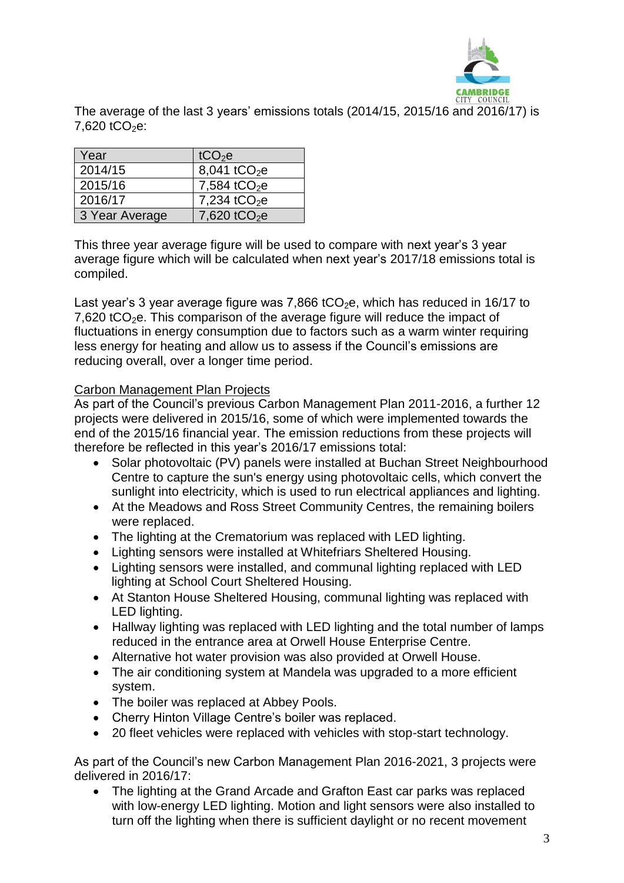

The average of the last 3 years' emissions totals (2014/15, 2015/16 and 2016/17) is 7,620 tCO<sub>2</sub>e:

| Year           | tCO <sub>2</sub> e       |
|----------------|--------------------------|
| 2014/15        | 8,041 tCO <sub>2</sub> e |
| 2015/16        | 7,584 tCO <sub>2</sub> e |
| 2016/17        | 7,234 tCO <sub>2</sub> e |
| 3 Year Average | 7,620 tCO <sub>2</sub> e |

This three year average figure will be used to compare with next year's 3 year average figure which will be calculated when next year's 2017/18 emissions total is compiled.

Last year's 3 year average figure was 7,866 tCO<sub>2</sub>e, which has reduced in 16/17 to 7,620 tCO<sub>2</sub>e. This comparison of the average figure will reduce the impact of fluctuations in energy consumption due to factors such as a warm winter requiring less energy for heating and allow us to assess if the Council's emissions are reducing overall, over a longer time period.

#### Carbon Management Plan Projects

As part of the Council's previous Carbon Management Plan 2011-2016, a further 12 projects were delivered in 2015/16, some of which were implemented towards the end of the 2015/16 financial year. The emission reductions from these projects will therefore be reflected in this year's 2016/17 emissions total:

- Solar photovoltaic (PV) panels were installed at Buchan Street Neighbourhood Centre to capture the sun's energy using photovoltaic cells, which convert the sunlight into electricity, which is used to run electrical appliances and lighting.
- At the Meadows and Ross Street Community Centres, the remaining boilers were replaced.
- The lighting at the Crematorium was replaced with LED lighting.
- Lighting sensors were installed at Whitefriars Sheltered Housing.
- Lighting sensors were installed, and communal lighting replaced with LED lighting at School Court Sheltered Housing.
- At Stanton House Sheltered Housing, communal lighting was replaced with LED lighting.
- Hallway lighting was replaced with LED lighting and the total number of lamps reduced in the entrance area at Orwell House Enterprise Centre.
- Alternative hot water provision was also provided at Orwell House.
- The air conditioning system at Mandela was upgraded to a more efficient system.
- The boiler was replaced at Abbey Pools.
- Cherry Hinton Village Centre's boiler was replaced.
- 20 fleet vehicles were replaced with vehicles with stop-start technology.

As part of the Council's new Carbon Management Plan 2016-2021, 3 projects were delivered in 2016/17:

 The lighting at the Grand Arcade and Grafton East car parks was replaced with low-energy LED lighting. Motion and light sensors were also installed to turn off the lighting when there is sufficient daylight or no recent movement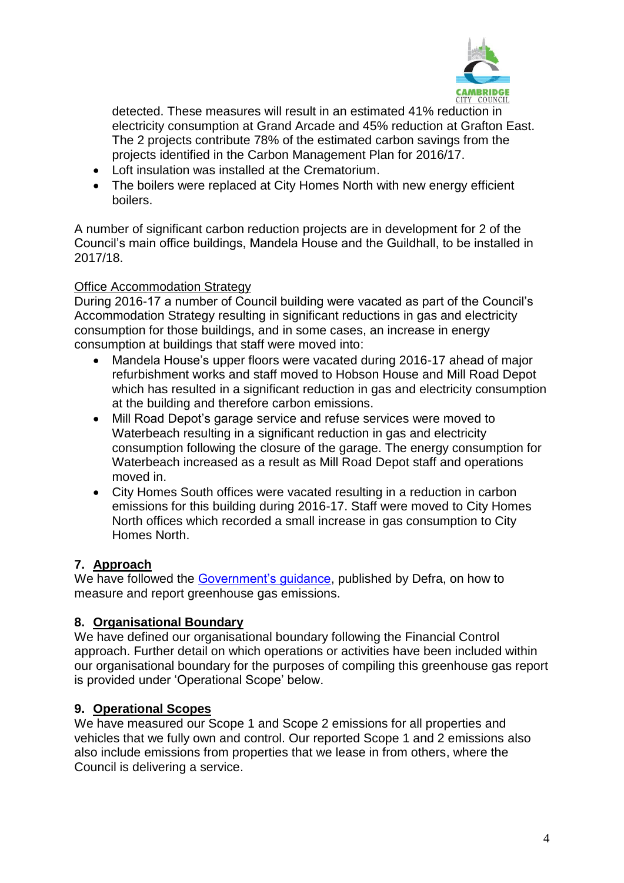

detected. These measures will result in an estimated 41% reduction in electricity consumption at Grand Arcade and 45% reduction at Grafton East. The 2 projects contribute 78% of the estimated carbon savings from the projects identified in the Carbon Management Plan for 2016/17.

- Loft insulation was installed at the Crematorium.
- The boilers were replaced at City Homes North with new energy efficient boilers.

A number of significant carbon reduction projects are in development for 2 of the Council's main office buildings, Mandela House and the Guildhall, to be installed in 2017/18.

# Office Accommodation Strategy

During 2016-17 a number of Council building were vacated as part of the Council's Accommodation Strategy resulting in significant reductions in gas and electricity consumption for those buildings, and in some cases, an increase in energy consumption at buildings that staff were moved into:

- Mandela House's upper floors were vacated during 2016-17 ahead of major refurbishment works and staff moved to Hobson House and Mill Road Depot which has resulted in a significant reduction in gas and electricity consumption at the building and therefore carbon emissions.
- Mill Road Depot's garage service and refuse services were moved to Waterbeach resulting in a significant reduction in gas and electricity consumption following the closure of the garage. The energy consumption for Waterbeach increased as a result as Mill Road Depot staff and operations moved in.
- City Homes South offices were vacated resulting in a reduction in carbon emissions for this building during 2016-17. Staff were moved to City Homes North offices which recorded a small increase in gas consumption to City Homes North.

# **7. Approach**

We have followed the [Government's guidance,](https://www.gov.uk/measuring-and-reporting-environmental-impacts-guidance-for-businesses) published by Defra, on how to measure and report greenhouse gas emissions.

# **8. Organisational Boundary**

We have defined our organisational boundary following the Financial Control approach. Further detail on which operations or activities have been included within our organisational boundary for the purposes of compiling this greenhouse gas report is provided under 'Operational Scope' below.

# **9. Operational Scopes**

We have measured our Scope 1 and Scope 2 emissions for all properties and vehicles that we fully own and control. Our reported Scope 1 and 2 emissions also also include emissions from properties that we lease in from others, where the Council is delivering a service.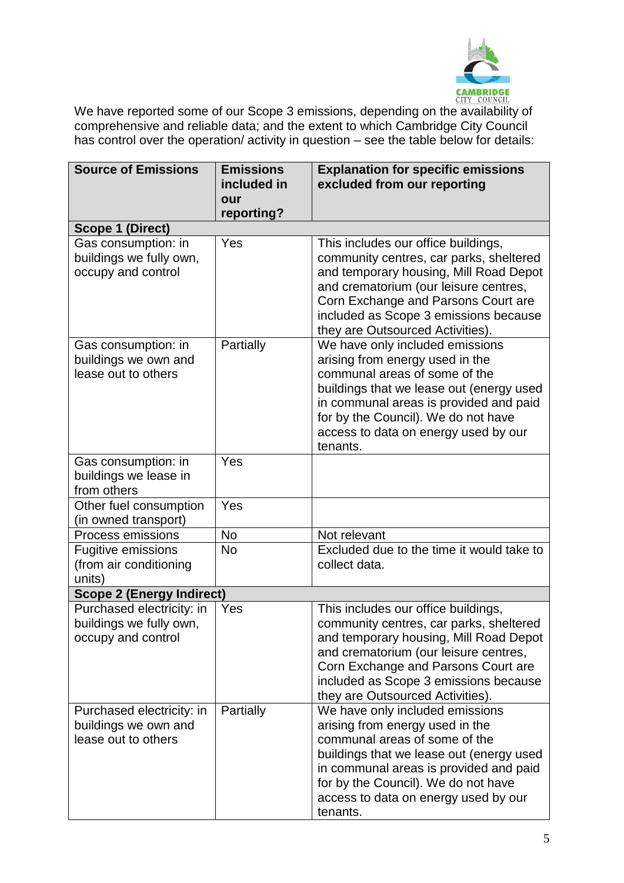

**CAMBRIDGE**<br>We have reported some of our Scope 3 emissions, depending on the availability of comprehensive and reliable data; and the extent to which Cambridge City Council has control over the operation/ activity in question – see the table below for details:

| <b>Source of Emissions</b>                     | <b>Emissions</b><br>included in | <b>Explanation for specific emissions</b><br>excluded from our reporting           |  |
|------------------------------------------------|---------------------------------|------------------------------------------------------------------------------------|--|
|                                                | our                             |                                                                                    |  |
|                                                | reporting?                      |                                                                                    |  |
| Scope 1 (Direct)                               |                                 |                                                                                    |  |
| Gas consumption: in                            | Yes                             | This includes our office buildings,                                                |  |
| buildings we fully own,                        |                                 | community centres, car parks, sheltered                                            |  |
| occupy and control                             |                                 | and temporary housing, Mill Road Depot<br>and crematorium (our leisure centres,    |  |
|                                                |                                 | Corn Exchange and Parsons Court are                                                |  |
|                                                |                                 | included as Scope 3 emissions because                                              |  |
|                                                |                                 | they are Outsourced Activities).                                                   |  |
| Gas consumption: in                            | Partially                       | We have only included emissions                                                    |  |
| buildings we own and                           |                                 | arising from energy used in the                                                    |  |
| lease out to others                            |                                 | communal areas of some of the                                                      |  |
|                                                |                                 | buildings that we lease out (energy used<br>in communal areas is provided and paid |  |
|                                                |                                 | for by the Council). We do not have                                                |  |
|                                                |                                 | access to data on energy used by our                                               |  |
|                                                |                                 | tenants.                                                                           |  |
| Gas consumption: in                            | Yes                             |                                                                                    |  |
| buildings we lease in                          |                                 |                                                                                    |  |
| from others                                    |                                 |                                                                                    |  |
| Other fuel consumption<br>(in owned transport) | Yes                             |                                                                                    |  |
| <b>Process emissions</b>                       | <b>No</b>                       | Not relevant                                                                       |  |
| <b>Fugitive emissions</b>                      | <b>No</b>                       | Excluded due to the time it would take to                                          |  |
| (from air conditioning                         |                                 | collect data.                                                                      |  |
| units)                                         |                                 |                                                                                    |  |
| <b>Scope 2 (Energy Indirect)</b>               |                                 |                                                                                    |  |
| Purchased electricity: in                      | Yes                             | This includes our office buildings,                                                |  |
| buildings we fully own,                        |                                 | community centres, car parks, sheltered                                            |  |
| occupy and control                             |                                 | and temporary housing, Mill Road Depot<br>and crematorium (our leisure centres,    |  |
|                                                |                                 | Corn Exchange and Parsons Court are                                                |  |
|                                                |                                 | included as Scope 3 emissions because                                              |  |
|                                                |                                 | they are Outsourced Activities).                                                   |  |
| Purchased electricity: in                      | Partially                       | We have only included emissions                                                    |  |
| buildings we own and                           |                                 | arising from energy used in the                                                    |  |
| lease out to others                            |                                 | communal areas of some of the                                                      |  |
|                                                |                                 | buildings that we lease out (energy used<br>in communal areas is provided and paid |  |
|                                                |                                 | for by the Council). We do not have                                                |  |
|                                                |                                 | access to data on energy used by our                                               |  |
|                                                |                                 | tenants.                                                                           |  |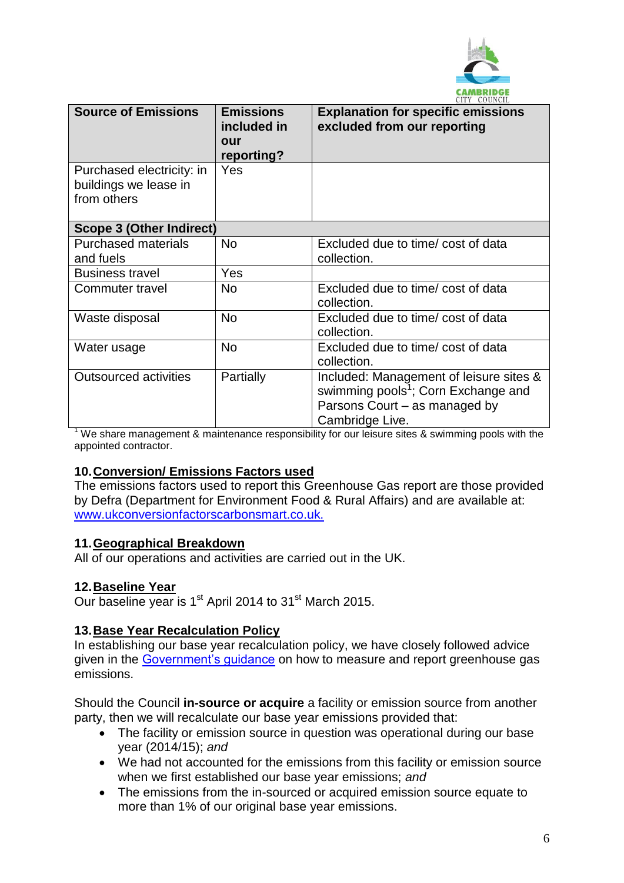

|                                 |                                                      | ULLI UUUNUL                                                              |
|---------------------------------|------------------------------------------------------|--------------------------------------------------------------------------|
| <b>Source of Emissions</b>      | <b>Emissions</b><br>included in<br>our<br>reporting? | <b>Explanation for specific emissions</b><br>excluded from our reporting |
| Purchased electricity: in       | <b>Yes</b>                                           |                                                                          |
| buildings we lease in           |                                                      |                                                                          |
| from others                     |                                                      |                                                                          |
|                                 |                                                      |                                                                          |
| <b>Scope 3 (Other Indirect)</b> |                                                      |                                                                          |
| <b>Purchased materials</b>      | <b>No</b>                                            | Excluded due to time/ cost of data                                       |
| and fuels                       |                                                      | collection.                                                              |
| <b>Business travel</b>          | Yes                                                  |                                                                          |
| Commuter travel                 | <b>No</b>                                            | Excluded due to time/ cost of data                                       |
|                                 |                                                      | collection.                                                              |
| Waste disposal                  | <b>No</b>                                            | Excluded due to time/ cost of data                                       |
|                                 |                                                      | collection.                                                              |
| Water usage                     | <b>No</b>                                            | Excluded due to time/ cost of data                                       |
|                                 |                                                      | collection.                                                              |
| <b>Outsourced activities</b>    | Partially                                            | Included: Management of leisure sites &                                  |
|                                 |                                                      | swimming pools <sup>1</sup> ; Corn Exchange and                          |
|                                 |                                                      | Parsons Court – as managed by                                            |
|                                 |                                                      | Cambridge Live.                                                          |

<sup>1</sup> We share management & maintenance responsibility for our leisure sites & swimming pools with the appointed contractor.

#### **10.Conversion/ Emissions Factors used**

The emissions factors used to report this Greenhouse Gas report are those provided by Defra (Department for Environment Food & Rural Affairs) and are available at: [www.ukconversionfactorscarbonsmart.co.uk.](file:///C:/Data/Strategy%20&%20Partnerships/Sustainable%20City/SUS110CLIMCHAG/114%20Council%20(internal%20projects)/MONITORING%20&%20REPORTING/NI%20185%20&%20194/2014-2015/Summary%20of%20Emissions%20and%20Report/www.ukconversionfactorscarbonsmart.co.uk)

#### **11.Geographical Breakdown**

All of our operations and activities are carried out in the UK.

#### **12.Baseline Year**

Our baseline year is 1<sup>st</sup> April 2014 to 31<sup>st</sup> March 2015.

#### **13.Base Year Recalculation Policy**

In establishing our base year recalculation policy, we have closely followed advice given in the [Government's guidance](https://www.gov.uk/government/uploads/system/uploads/attachment_data/file/206392/pb13944-env-reporting-guidance.pdf) on how to measure and report greenhouse gas emissions.

Should the Council **in-source or acquire** a facility or emission source from another party, then we will recalculate our base year emissions provided that:

- The facility or emission source in question was operational during our base year (2014/15); *and*
- We had not accounted for the emissions from this facility or emission source when we first established our base year emissions; *and*
- The emissions from the in-sourced or acquired emission source equate to more than 1% of our original base year emissions.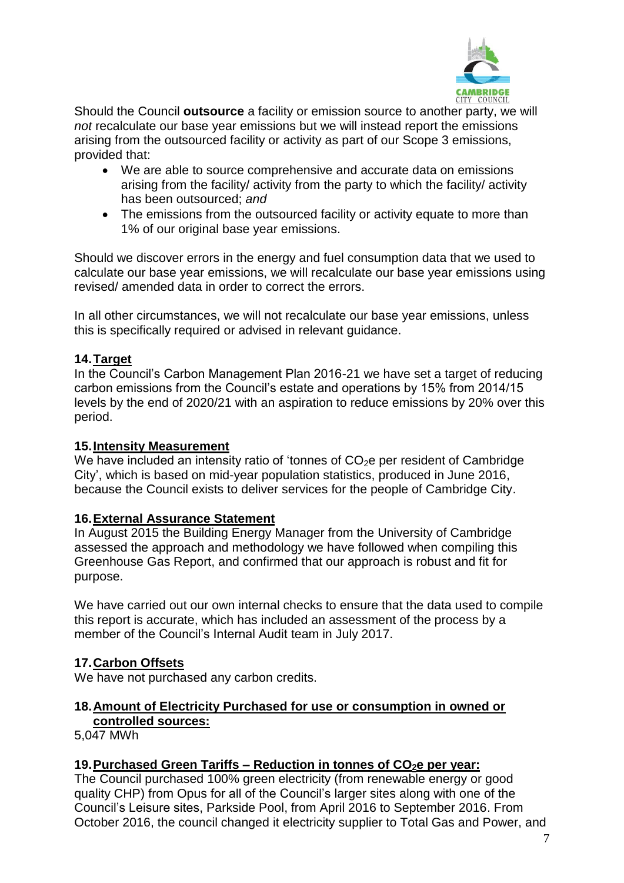

Should the Council **outsource** a facility or emission source to another party, we will *not* recalculate our base year emissions but we will instead report the emissions arising from the outsourced facility or activity as part of our Scope 3 emissions, provided that:

- We are able to source comprehensive and accurate data on emissions arising from the facility/ activity from the party to which the facility/ activity has been outsourced; *and*
- The emissions from the outsourced facility or activity equate to more than 1% of our original base year emissions.

Should we discover errors in the energy and fuel consumption data that we used to calculate our base year emissions, we will recalculate our base year emissions using revised/ amended data in order to correct the errors.

In all other circumstances, we will not recalculate our base year emissions, unless this is specifically required or advised in relevant guidance.

## **14.Target**

In the Council's Carbon Management Plan 2016-21 we have set a target of reducing carbon emissions from the Council's estate and operations by 15% from 2014/15 levels by the end of 2020/21 with an aspiration to reduce emissions by 20% over this period.

#### **15.Intensity Measurement**

We have included an intensity ratio of 'tonnes of  $CO<sub>2</sub>e$  per resident of Cambridge City', which is based on mid-year population statistics, produced in June 2016, because the Council exists to deliver services for the people of Cambridge City.

#### **16.External Assurance Statement**

In August 2015 the Building Energy Manager from the University of Cambridge assessed the approach and methodology we have followed when compiling this Greenhouse Gas Report, and confirmed that our approach is robust and fit for purpose.

We have carried out our own internal checks to ensure that the data used to compile this report is accurate, which has included an assessment of the process by a member of the Council's Internal Audit team in July 2017.

## **17.Carbon Offsets**

We have not purchased any carbon credits.

#### **18.Amount of Electricity Purchased for use or consumption in owned or controlled sources:**

5,047 MWh

## **19.Purchased Green Tariffs – Reduction in tonnes of CO2e per year:**

The Council purchased 100% green electricity (from renewable energy or good quality CHP) from Opus for all of the Council's larger sites along with one of the Council's Leisure sites, Parkside Pool, from April 2016 to September 2016. From October 2016, the council changed it electricity supplier to Total Gas and Power, and